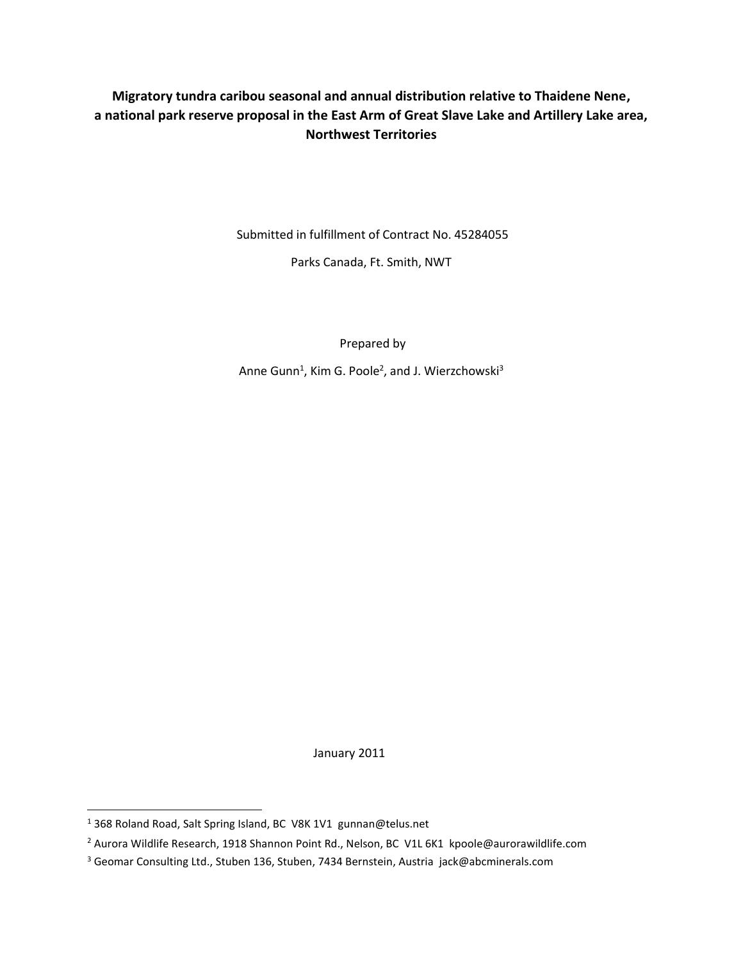## **Migratory tundra caribou seasonal and annual distribution relative to Thaidene Nene, a national park reserve proposal in the East Arm of Great Slave Lake and Artillery Lake area, Northwest Territories**

Submitted in fulfillment of Contract No. 45284055

Parks Canada, Ft. Smith, NWT

Prepared by

Anne Gunn<sup>1</sup>, Kim G. Poole<sup>2</sup>, and J. Wierzchowski<sup>3</sup>

January 2011

 $\overline{a}$ 

<sup>1</sup> 368 Roland Road, Salt Spring Island, BC V8K 1V1 gunnan@telus.net

<sup>&</sup>lt;sup>2</sup> Aurora Wildlife Research, 1918 Shannon Point Rd., Nelson, BC V1L 6K1 kpoole@aurorawildlife.com

<sup>3</sup> Geomar Consulting Ltd., Stuben 136, Stuben, 7434 Bernstein, Austria jack@abcminerals.com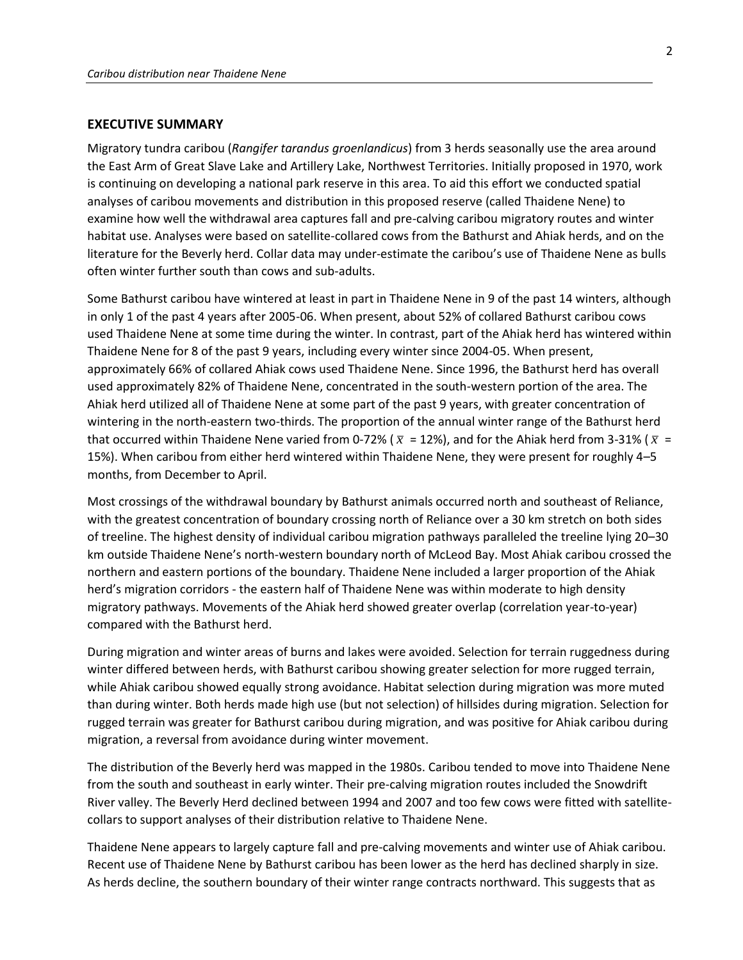## **EXECUTIVE SUMMARY**

Migratory tundra caribou (*Rangifer tarandus groenlandicus*) from 3 herds seasonally use the area around the East Arm of Great Slave Lake and Artillery Lake, Northwest Territories. Initially proposed in 1970, work is continuing on developing a national park reserve in this area. To aid this effort we conducted spatial analyses of caribou movements and distribution in this proposed reserve (called Thaidene Nene) to examine how well the withdrawal area captures fall and pre-calving caribou migratory routes and winter habitat use. Analyses were based on satellite-collared cows from the Bathurst and Ahiak herds, and on the literature for the Beverly herd. Collar data may under-estimate the caribou's use of Thaidene Nene as bulls often winter further south than cows and sub-adults.

Some Bathurst caribou have wintered at least in part in Thaidene Nene in 9 of the past 14 winters, although in only 1 of the past 4 years after 2005-06. When present, about 52% of collared Bathurst caribou cows used Thaidene Nene at some time during the winter. In contrast, part of the Ahiak herd has wintered within Thaidene Nene for 8 of the past 9 years, including every winter since 2004-05. When present, approximately 66% of collared Ahiak cows used Thaidene Nene. Since 1996, the Bathurst herd has overall used approximately 82% of Thaidene Nene, concentrated in the south-western portion of the area. The Ahiak herd utilized all of Thaidene Nene at some part of the past 9 years, with greater concentration of wintering in the north-eastern two-thirds. The proportion of the annual winter range of the Bathurst herd that occurred within Thaidene Nene varied from 0-72% ( $\bar{x}$  = 12%), and for the Ahiak herd from 3-31% ( $\bar{x}$  = 15%). When caribou from either herd wintered within Thaidene Nene, they were present for roughly 4–5 months, from December to April.

Most crossings of the withdrawal boundary by Bathurst animals occurred north and southeast of Reliance, with the greatest concentration of boundary crossing north of Reliance over a 30 km stretch on both sides of treeline. The highest density of individual caribou migration pathways paralleled the treeline lying 20–30 km outside Thaidene Nene's north-western boundary north of McLeod Bay. Most Ahiak caribou crossed the northern and eastern portions of the boundary. Thaidene Nene included a larger proportion of the Ahiak herd's migration corridors - the eastern half of Thaidene Nene was within moderate to high density migratory pathways. Movements of the Ahiak herd showed greater overlap (correlation year-to-year) compared with the Bathurst herd.

During migration and winter areas of burns and lakes were avoided. Selection for terrain ruggedness during winter differed between herds, with Bathurst caribou showing greater selection for more rugged terrain, while Ahiak caribou showed equally strong avoidance. Habitat selection during migration was more muted than during winter. Both herds made high use (but not selection) of hillsides during migration. Selection for rugged terrain was greater for Bathurst caribou during migration, and was positive for Ahiak caribou during migration, a reversal from avoidance during winter movement.

The distribution of the Beverly herd was mapped in the 1980s. Caribou tended to move into Thaidene Nene from the south and southeast in early winter. Their pre-calving migration routes included the Snowdrift River valley. The Beverly Herd declined between 1994 and 2007 and too few cows were fitted with satellitecollars to support analyses of their distribution relative to Thaidene Nene.

Thaidene Nene appears to largely capture fall and pre-calving movements and winter use of Ahiak caribou. Recent use of Thaidene Nene by Bathurst caribou has been lower as the herd has declined sharply in size. As herds decline, the southern boundary of their winter range contracts northward. This suggests that as